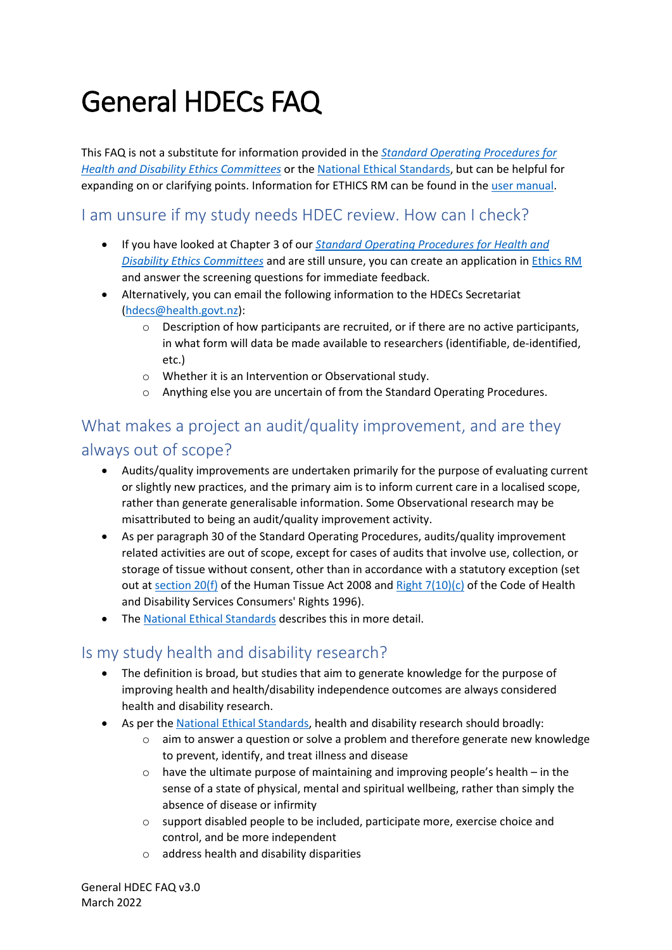# General HDECs FAQ

This FAQ is not a substitute for information provided in the *[Standard Operating Procedures for](https://ethics.health.govt.nz/assets/Uploads/HDEC/sops/standard-operating-procedures-for-hdecs-v3-0.docx)  [Health and Disability Ethics Committees](https://ethics.health.govt.nz/assets/Uploads/HDEC/sops/standard-operating-procedures-for-hdecs-v3-0.docx)* or the [National Ethical Standards,](https://neac.health.govt.nz/national-ethical-standards/) but can be helpful for expanding on or clarifying points. Information for ETHICS RM can be found in the [user manual.](https://ethics.health.govt.nz/assets/ERM-Manual-March2022-v1.0.pdf)

## I am unsure if my study needs HDEC review. How can I check?

- If you have looked at Chapter 3 of our *[Standard Operating Procedures for Health and](https://ethics.health.govt.nz/assets/Uploads/HDEC/sops/standard-operating-procedures-for-hdecs-v3-0.docx)  [Disability Ethics Committees](https://ethics.health.govt.nz/assets/Uploads/HDEC/sops/standard-operating-procedures-for-hdecs-v3-0.docx)* and are still unsure, you can create an application in [Ethics](https://nz.forms.ethicalreviewmanager.com/) RM and answer the screening questions for immediate feedback.
- Alternatively, you can email the following information to the HDECs Secretariat [\(hdecs@health.govt.nz\)](mailto:hdecs@health.govt.nz):
	- o Description of how participants are recruited, or if there are no active participants, in what form will data be made available to researchers (identifiable, de-identified, etc.)
	- o Whether it is an Intervention or Observational study.
	- o Anything else you are uncertain of from the Standard Operating Procedures.

## What makes a project an audit/quality improvement, and are they always out of scope?

- Audits/quality improvements are undertaken primarily for the purpose of evaluating current or slightly new practices, and the primary aim is to inform current care in a localised scope, rather than generate generalisable information. Some Observational research may be misattributed to being an audit/quality improvement activity.
- As per paragraph 30 of the Standard Operating Procedures, audits/quality improvement related activities are out of scope, except for cases of audits that involve use, collection, or storage of tissue without consent, other than in accordance with a statutory exception (set out at [section 20\(f\)](https://www.legislation.govt.nz/act/public/2008/0028/latest/DLM1154172.html) of the Human Tissue Act 2008 and Right  $7(10)(c)$  of the Code of Health and Disability Services Consumers' Rights 1996).
- The [National Ethical Standards](https://neac.health.govt.nz/national-ethical-standards/part-two/18-quality-improvement/) describes this in more detail.

#### Is my study health and disability research?

- The definition is broad, but studies that aim to generate knowledge for the purpose of improving health and health/disability independence outcomes are always considered health and disability research.
- As per the [National Ethical Standards,](https://neac.health.govt.nz/national-ethical-standards/part-two/1-scope-of-the-standards/) health and disability research should broadly:
	- o aim to answer a question or solve a problem and therefore generate new knowledge to prevent, identify, and treat illness and disease
	- $\circ$  have the ultimate purpose of maintaining and improving people's health in the sense of a state of physical, mental and spiritual wellbeing, rather than simply the absence of disease or infirmity
	- o support disabled people to be included, participate more, exercise choice and control, and be more independent
	- o address health and disability disparities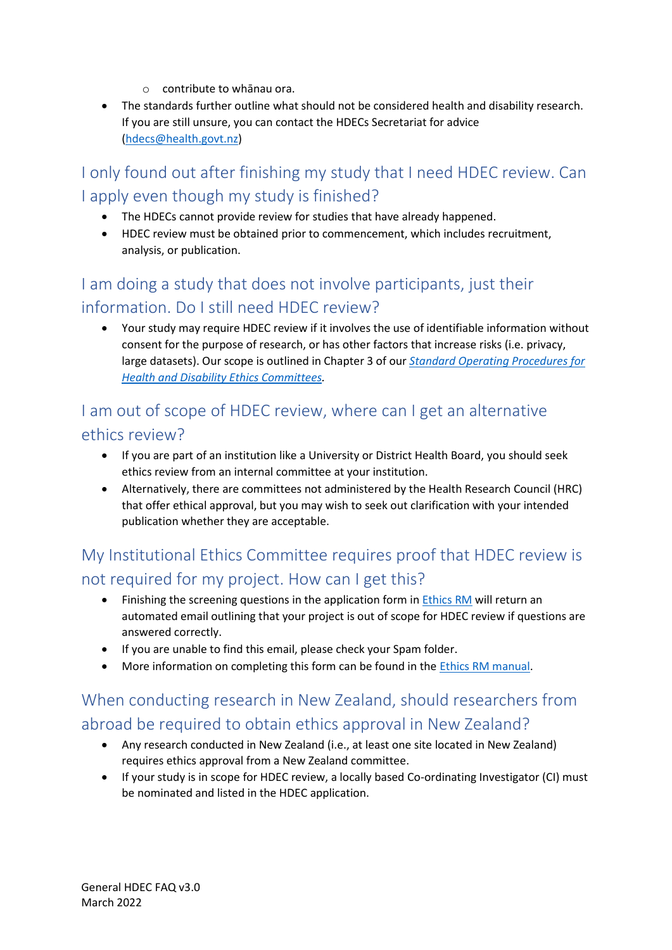- o contribute to whānau ora.
- The standards further outline what should not be considered health and disability research. If you are still unsure, you can contact the HDECs Secretariat for advice [\(hdecs@health.govt.nz\)](mailto:hdecs@health.govt.nz)

I only found out after finishing my study that I need HDEC review. Can I apply even though my study is finished?

- The HDECs cannot provide review for studies that have already happened.
- HDEC review must be obtained prior to commencement, which includes recruitment, analysis, or publication.

## I am doing a study that does not involve participants, just their information. Do I still need HDEC review?

• Your study may require HDEC review if it involves the use of identifiable information without consent for the purpose of research, or has other factors that increase risks (i.e. privacy, large datasets). Our scope is outlined in Chapter 3 of our *[Standard Operating Procedures for](https://ethics.health.govt.nz/assets/Uploads/HDEC/sops/standard-operating-procedures-for-hdecs-v3-0.docx)  [Health and Disability Ethics Committees.](https://ethics.health.govt.nz/assets/Uploads/HDEC/sops/standard-operating-procedures-for-hdecs-v3-0.docx)*

#### I am out of scope of HDEC review, where can I get an alternative ethics review?

- If you are part of an institution like a University or District Health Board, you should seek ethics review from an internal committee at your institution.
- Alternatively, there are committees not administered by the Health Research Council (HRC) that offer ethical approval, but you may wish to seek out clarification with your intended publication whether they are acceptable.

## My Institutional Ethics Committee requires proof that HDEC review is not required for my project. How can I get this?

- Finishing the screening questions in the application form in [Ethics](https://nz.forms.ethicalreviewmanager.com/Account/Login) RM will return an automated email outlining that your project is out of scope for HDEC review if questions are answered correctly.
- If you are unable to find this email, please check your Spam folder.
- More information on completing this form can be found in the *Ethics RM* manual.

## When conducting research in New Zealand, should researchers from abroad be required to obtain ethics approval in New Zealand?

- Any research conducted in New Zealand (i.e., at least one site located in New Zealand) requires ethics approval from a New Zealand committee.
- If your study is in scope for HDEC review, a locally based Co-ordinating Investigator (CI) must be nominated and listed in the HDEC application.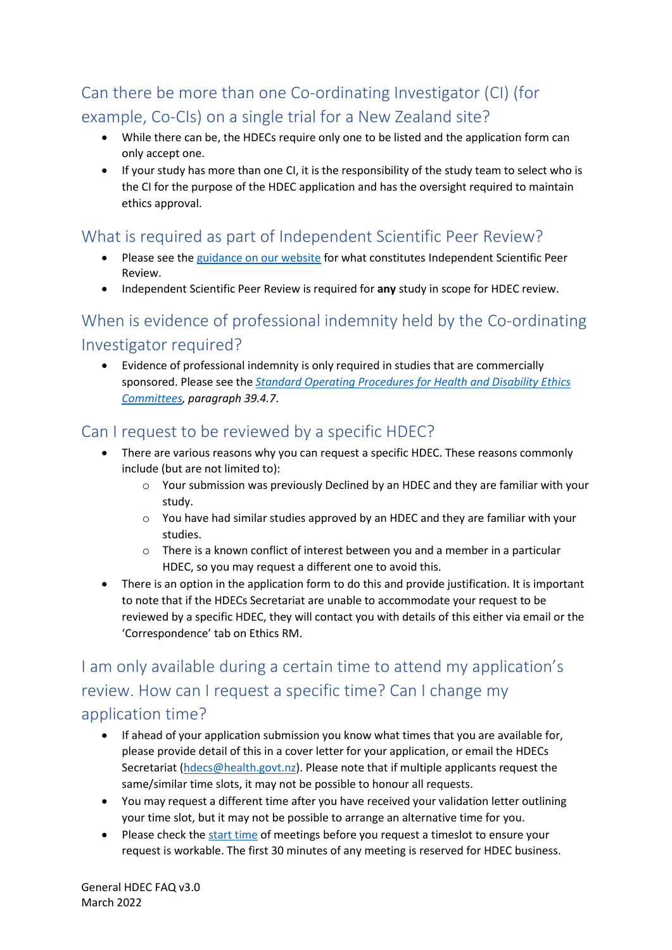# Can there be more than one Co-ordinating Investigator (CI) (for example, Co-CIs) on a single trial for a New Zealand site?

- While there can be, the HDECs require only one to be listed and the application form can only accept one.
- If your study has more than one CI, it is the responsibility of the study team to select who is the CI for the purpose of the HDEC application and has the oversight required to maintain ethics approval.

#### What is required as part of Independent Scientific Peer Review?

- Please see the [guidance on our website](https://ethics.health.govt.nz/guides-templates-and-forms/scientific-peer-review-submissions-guidance/) for what constitutes Independent Scientific Peer Review.
- Independent Scientific Peer Review is required for **any** study in scope for HDEC review.

# When is evidence of professional indemnity held by the Co-ordinating Investigator required?

• Evidence of professional indemnity is only required in studies that are commercially sponsored. Please see the *[Standard Operating Procedures for Health and Disability Ethics](https://ethics.health.govt.nz/assets/Uploads/HDEC/sops/standard-operating-procedures-for-hdecs-v3-0.docx)  [Committees,](https://ethics.health.govt.nz/assets/Uploads/HDEC/sops/standard-operating-procedures-for-hdecs-v3-0.docx) paragraph 39.4.7*.

## Can I request to be reviewed by a specific HDEC?

- There are various reasons why you can request a specific HDEC. These reasons commonly include (but are not limited to):
	- o Your submission was previously Declined by an HDEC and they are familiar with your study.
	- $\circ$  You have had similar studies approved by an HDEC and they are familiar with your studies.
	- $\circ$  There is a known conflict of interest between you and a member in a particular HDEC, so you may request a different one to avoid this.
- There is an option in the application form to do this and provide justification. It is important to note that if the HDECs Secretariat are unable to accommodate your request to be reviewed by a specific HDEC, they will contact you with details of this either via email or the 'Correspondence' tab on Ethics RM.

# I am only available during a certain time to attend my application's review. How can I request a specific time? Can I change my application time?

- If ahead of your application submission you know what times that you are available for, please provide detail of this in a cover letter for your application, or email the HDECs Secretariat [\(hdecs@health.govt.nz\)](mailto:hdecs@health.govt.nz). Please note that if multiple applicants request the same/similar time slots, it may not be possible to honour all requests.
- You may request a different time after you have received your validation letter outlining your time slot, but it may not be possible to arrange an alternative time for you.
- Please check th[e start time](https://ethics.health.govt.nz/about/meeting-dates-venues-and-minutes/) of meetings before you request a timeslot to ensure your request is workable. The first 30 minutes of any meeting is reserved for HDEC business.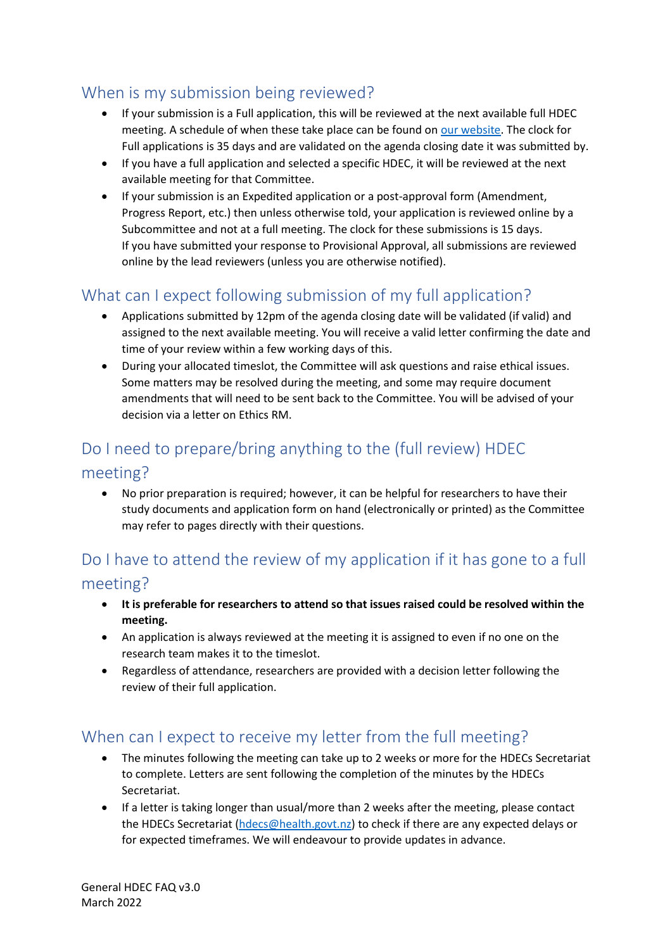## When is my submission being reviewed?

- If your submission is a Full application, this will be reviewed at the next available full HDEC meeting. A schedule of when these take place can be found o[n our website.](https://ethics.health.govt.nz/about-the-committees/meeting-dates-venues-and-minutes/) The clock for Full applications is 35 days and are validated on the agenda closing date it was submitted by.
- If you have a full application and selected a specific HDEC, it will be reviewed at the next available meeting for that Committee.
- If your submission is an Expedited application or a post-approval form (Amendment, Progress Report, etc.) then unless otherwise told, your application is reviewed online by a Subcommittee and not at a full meeting. The clock for these submissions is 15 days. If you have submitted your response to Provisional Approval, all submissions are reviewed online by the lead reviewers (unless you are otherwise notified).

## What can I expect following submission of my full application?

- Applications submitted by 12pm of the agenda closing date will be validated (if valid) and assigned to the next available meeting. You will receive a valid letter confirming the date and time of your review within a few working days of this.
- During your allocated timeslot, the Committee will ask questions and raise ethical issues. Some matters may be resolved during the meeting, and some may require document amendments that will need to be sent back to the Committee. You will be advised of your decision via a letter on Ethics RM.

## Do I need to prepare/bring anything to the (full review) HDEC meeting?

• No prior preparation is required; however, it can be helpful for researchers to have their study documents and application form on hand (electronically or printed) as the Committee may refer to pages directly with their questions.

## Do I have to attend the review of my application if it has gone to a full meeting?

- **It is preferable for researchers to attend so that issues raised could be resolved within the meeting.**
- An application is always reviewed at the meeting it is assigned to even if no one on the research team makes it to the timeslot.
- Regardless of attendance, researchers are provided with a decision letter following the review of their full application.

#### When can I expect to receive my letter from the full meeting?

- The minutes following the meeting can take up to 2 weeks or more for the HDECs Secretariat to complete. Letters are sent following the completion of the minutes by the HDECs Secretariat.
- If a letter is taking longer than usual/more than 2 weeks after the meeting, please contact the HDECs Secretariat [\(hdecs@health.govt.nz\)](mailto:hdecs@health.govt.nz) to check if there are any expected delays or for expected timeframes. We will endeavour to provide updates in advance.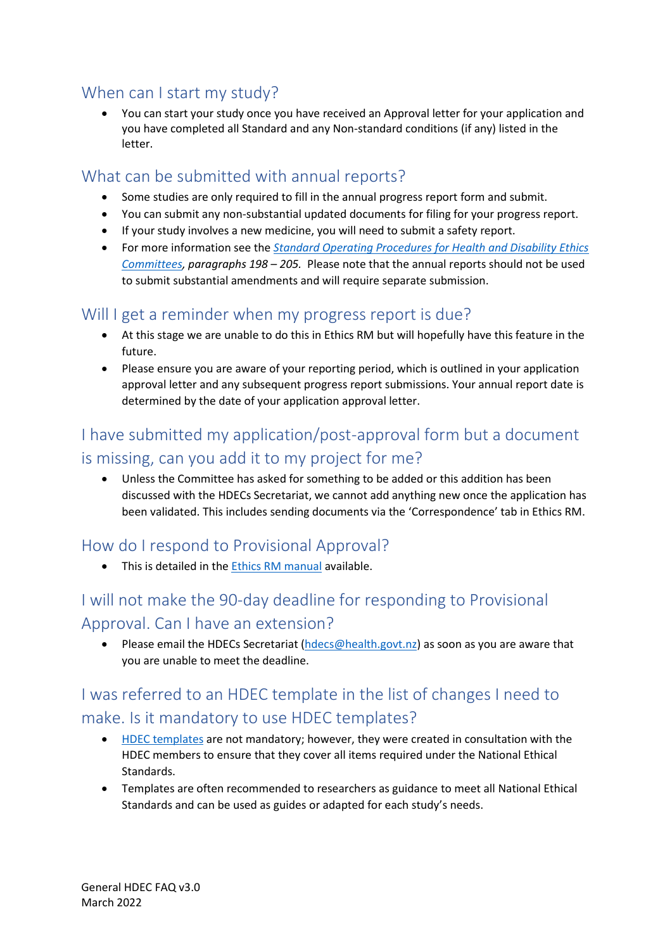#### When can I start my study?

• You can start your study once you have received an Approval letter for your application and you have completed all Standard and any Non-standard conditions (if any) listed in the letter.

#### What can be submitted with annual reports?

- Some studies are only required to fill in the annual progress report form and submit.
- You can submit any non-substantial updated documents for filing for your progress report.
- If your study involves a new medicine, you will need to submit a safety report.
- For more information see the *[Standard Operating Procedures for Health and Disability Ethics](https://ethics.health.govt.nz/assets/Uploads/HDEC/sops/standard-operating-procedures-for-hdecs-v3-0.docx)  [Committees,](https://ethics.health.govt.nz/assets/Uploads/HDEC/sops/standard-operating-procedures-for-hdecs-v3-0.docx) paragraphs 198 – 205.* Please note that the annual reports should not be used to submit substantial amendments and will require separate submission.

#### Will I get a reminder when my progress report is due?

- At this stage we are unable to do this in Ethics RM but will hopefully have this feature in the future.
- Please ensure you are aware of your reporting period, which is outlined in your application approval letter and any subsequent progress report submissions. Your annual report date is determined by the date of your application approval letter.

## I have submitted my application/post-approval form but a document is missing, can you add it to my project for me?

• Unless the Committee has asked for something to be added or this addition has been discussed with the HDECs Secretariat, we cannot add anything new once the application has been validated. This includes sending documents via the 'Correspondence' tab in Ethics RM.

## How do I respond to Provisional Approval?

• This is detailed in the **Ethics RM manual** available.

# I will not make the 90-day deadline for responding to Provisional Approval. Can I have an extension?

• Please email the HDECs Secretariat [\(hdecs@health.govt.nz\)](mailto:hdecs@health.govt.nz) as soon as you are aware that you are unable to meet the deadline.

# I was referred to an HDEC template in the list of changes I need to make. Is it mandatory to use HDEC templates?

- [HDEC templates](https://ethics.health.govt.nz/guides-templates-and-forms/) are not mandatory; however, they were created in consultation with the HDEC members to ensure that they cover all items required under the National Ethical Standards.
- Templates are often recommended to researchers as guidance to meet all National Ethical Standards and can be used as guides or adapted for each study's needs.